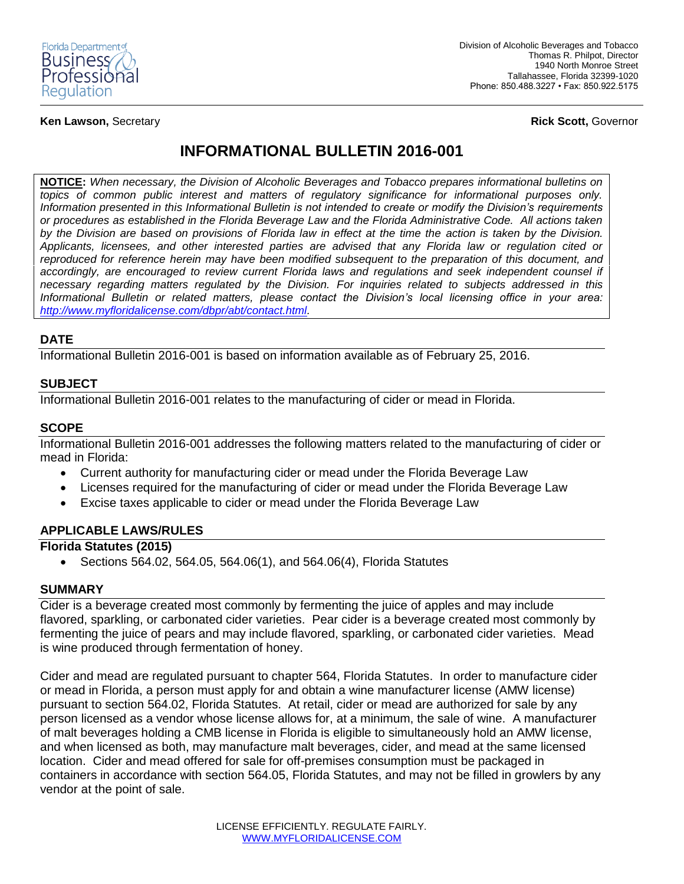

**Ken Lawson,** Secretary **Rick Scott,** Governor

# **INFORMATIONAL BULLETIN 2016-001**

**NOTICE:** *When necessary, the Division of Alcoholic Beverages and Tobacco prepares informational bulletins on topics of common public interest and matters of regulatory significance for informational purposes only. Information presented in this Informational Bulletin is not intended to create or modify the Division's requirements or procedures as established in the Florida Beverage Law and the Florida Administrative Code. All actions taken by the Division are based on provisions of Florida law in effect at the time the action is taken by the Division. Applicants, licensees, and other interested parties are advised that any Florida law or regulation cited or reproduced for reference herein may have been modified subsequent to the preparation of this document, and accordingly, are encouraged to review current Florida laws and regulations and seek independent counsel if necessary regarding matters regulated by the Division. For inquiries related to subjects addressed in this Informational Bulletin or related matters, please contact the Division's local licensing office in your area: [http://www.myfloridalicense.com/dbpr/abt/contact.html.](http://www.myfloridalicense.com/dbpr/abt/contact.html)*

## **DATE**

Informational Bulletin 2016-001 is based on information available as of February 25, 2016.

## **SUBJECT**

Informational Bulletin 2016-001 relates to the manufacturing of cider or mead in Florida.

## **SCOPE**

Informational Bulletin 2016-001 addresses the following matters related to the manufacturing of cider or mead in Florida:

- Current authority for manufacturing cider or mead under the Florida Beverage Law
- Licenses required for the manufacturing of cider or mead under the Florida Beverage Law
- Excise taxes applicable to cider or mead under the Florida Beverage Law

## **APPLICABLE LAWS/RULES**

## **Florida Statutes (2015)**

Sections 564.02, 564.05, 564.06(1), and 564.06(4), Florida Statutes

#### **SUMMARY**

Cider is a beverage created most commonly by fermenting the juice of apples and may include flavored, sparkling, or carbonated cider varieties. Pear cider is a beverage created most commonly by fermenting the juice of pears and may include flavored, sparkling, or carbonated cider varieties. Mead is wine produced through fermentation of honey.

Cider and mead are regulated pursuant to chapter 564, Florida Statutes. In order to manufacture cider or mead in Florida, a person must apply for and obtain a wine manufacturer license (AMW license) pursuant to section 564.02, Florida Statutes. At retail, cider or mead are authorized for sale by any person licensed as a vendor whose license allows for, at a minimum, the sale of wine. A manufacturer of malt beverages holding a CMB license in Florida is eligible to simultaneously hold an AMW license, and when licensed as both, may manufacture malt beverages, cider, and mead at the same licensed location. Cider and mead offered for sale for off-premises consumption must be packaged in containers in accordance with section 564.05, Florida Statutes, and may not be filled in growlers by any vendor at the point of sale.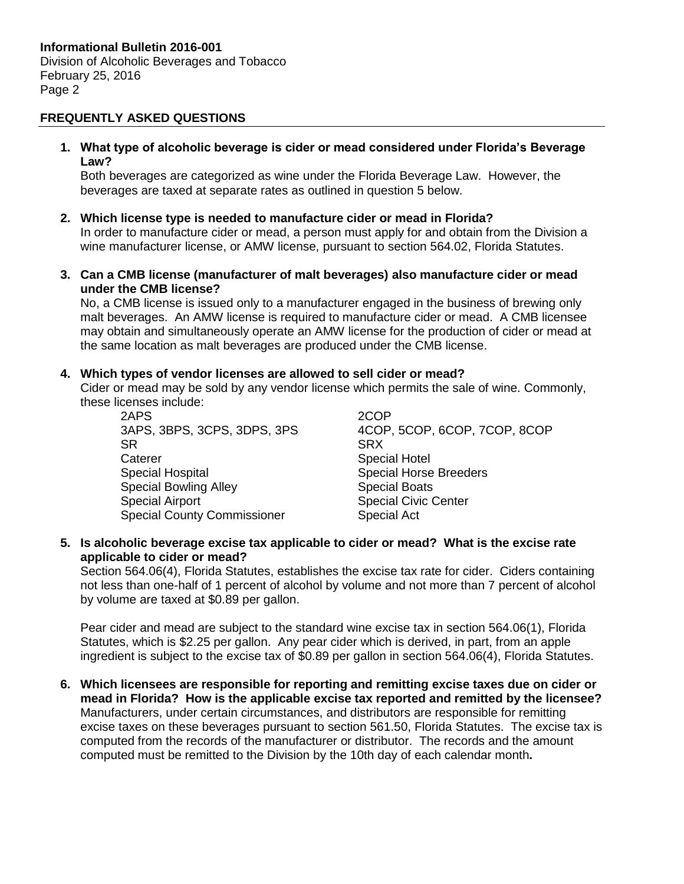### **FREQUENTLY ASKED QUESTIONS**

**1. What type of alcoholic beverage is cider or mead considered under Florida's Beverage Law?**

Both beverages are categorized as wine under the Florida Beverage Law. However, the beverages are taxed at separate rates as outlined in question 5 below.

**2. Which license type is needed to manufacture cider or mead in Florida?**

In order to manufacture cider or mead, a person must apply for and obtain from the Division a wine manufacturer license, or AMW license, pursuant to section 564.02, Florida Statutes.

**3. Can a CMB license (manufacturer of malt beverages) also manufacture cider or mead under the CMB license?**

No, a CMB license is issued only to a manufacturer engaged in the business of brewing only malt beverages. An AMW license is required to manufacture cider or mead. A CMB licensee may obtain and simultaneously operate an AMW license for the production of cider or mead at the same location as malt beverages are produced under the CMB license.

#### **4. Which types of vendor licenses are allowed to sell cider or mead?**

Cider or mead may be sold by any vendor license which permits the sale of wine. Commonly, these licenses include:

2APS 2COP SR SRX SRX Caterer **Special Hotel** Special Hospital **Special Horse Breeders** Special Bowling Alley Special Boats Special Airport **Special Civic Center** Special County Commissioner Special Act

3APS, 3BPS, 3CPS, 3DPS, 3PS 4COP, 5COP, 6COP, 7COP, 8COP

**5. Is alcoholic beverage excise tax applicable to cider or mead? What is the excise rate applicable to cider or mead?**

Section 564.06(4), Florida Statutes, establishes the excise tax rate for cider. Ciders containing not less than one-half of 1 percent of alcohol by volume and not more than 7 percent of alcohol by volume are taxed at \$0.89 per gallon.

Pear cider and mead are subject to the standard wine excise tax in section 564.06(1), Florida Statutes, which is \$2.25 per gallon. Any pear cider which is derived, in part, from an apple ingredient is subject to the excise tax of \$0.89 per gallon in section 564.06(4), Florida Statutes.

**6. Which licensees are responsible for reporting and remitting excise taxes due on cider or mead in Florida? How is the applicable excise tax reported and remitted by the licensee?** Manufacturers, under certain circumstances, and distributors are responsible for remitting excise taxes on these beverages pursuant to section 561.50, Florida Statutes. The excise tax is computed from the records of the manufacturer or distributor. The records and the amount computed must be remitted to the Division by the 10th day of each calendar month**.**